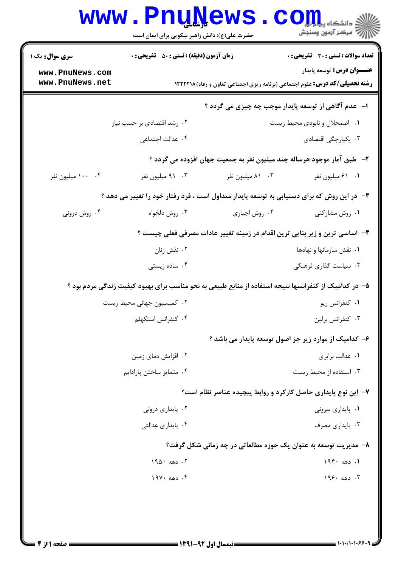|                                                                                            | www.PnuNews<br>حضرت علی(ع): دانش راهبر نیکویی برای ایمان است |                  | الاد دانشگاه پی <mark>ا با بار</mark><br>الله مرکز آزمون وسنجش                                                          |
|--------------------------------------------------------------------------------------------|--------------------------------------------------------------|------------------|-------------------------------------------------------------------------------------------------------------------------|
| سری سوال: یک ۱                                                                             | <b>زمان آزمون (دقیقه) : تستی : 50 ٪ تشریحی : 0</b>           |                  | <b>تعداد سوالات : تستی : 30 ٪ تشریحی : 0</b>                                                                            |
| www.PnuNews.com<br>www.PnuNews.net                                                         |                                                              |                  | <b>عنـــوان درس:</b> توسعه پایدار<br><b>رشته تحصیلی/کد درس:</b> علوم اجتماعی (برنامه ریزی اجتماعی تعاون و رفاه) ۱۲۲۲۲۱۸ |
|                                                                                            |                                                              |                  | ا- عدم آگاهی از توسعه پایدار موجب چه چیزی می گردد ؟                                                                     |
|                                                                                            | ۰۲ رشد اقتصادی بر حسب نیاز                                   |                  | ٠١ اضمحلال و نابودي محيط زيست                                                                                           |
|                                                                                            | ۰۴ عدالت اجتماعی                                             |                  | ۰۳ یکپارچگی اقتصادی                                                                                                     |
|                                                                                            |                                                              |                  | ۲– طبق آمار موجود هرساله چند میلیون نفر به جمعیت جهان افزوده می گردد ؟                                                  |
| ۰۴ - ۱۰۰ میلیون نفر                                                                        | ۰۳ میلیون نفر                                                | ۰۲ ۸۱ میلیون نفر | ٠١ ٤١ ميليون نفر                                                                                                        |
| ۳- در این روش که برای دستیابی به توسعه پایدار متداول است ، فرد رفتار خود را تغییر می دهد ؟ |                                                              |                  |                                                                                                                         |
| ۰۴ روش درونی                                                                               | ۰۳ روش دلخواه                                                | ۰۲ روش اجباری    | ۰۱ روش مشارکتی                                                                                                          |
|                                                                                            |                                                              |                  | ۴– اساسی ترین و زیر بنایی ترین اقدام در زمینه تغییر عادات مصرفی فعلی چیست ؟                                             |
|                                                                                            | ۰۲ نقش زنان                                                  |                  | ۰۱ نقش سازمانها و نهادها                                                                                                |
|                                                                                            | ۰۴ ساده زیستی                                                |                  | ۰۳ سیاست گذاری فرهنگی                                                                                                   |
|                                                                                            |                                                              |                  | ۵– در کدامیک از کنفرانسها نتیجه استفاده از منابع طبیعی به نحو مناسب برای بهبود کیفیت زندگی مردم بود ؟                   |
|                                                                                            | ۰۲ کمیسیون جهانی محیط زیست                                   |                  | ۰۱ کنفرانس ريو                                                                                                          |
|                                                                                            | ۰۴ کنفرانس استکهلم                                           |                  | ۰۳ کنفرانس برلين                                                                                                        |
|                                                                                            |                                                              |                  | ۶– کدامیک از موارد زیر جز اصول توسعه پایدار می باشد ؟                                                                   |
|                                                                                            | ۰۲ افزایش دمای زمین                                          |                  | ٠١ عدالت برابري                                                                                                         |
|                                                                                            | ۰۴ متمايز ساختن پارادايم                                     |                  | ۰۳ استفاده از محیط زیست                                                                                                 |
|                                                                                            |                                                              |                  | ۷- این نوع پایداری حاصل کارکرد و روابط پیچیده عناصر نظام است؟                                                           |
|                                                                                            | ۰۲ پایداری درونی                                             |                  | ۰۱ پایداری بیرونی                                                                                                       |
|                                                                                            | ۰۴ یایداری عدالتی                                            |                  | ۰۳ یایداری مصرف                                                                                                         |
|                                                                                            |                                                              |                  | ۸- مدیریت توسعه به عنوان یک حوزه مطالعاتی در چه زمانی شکل گرفت؟                                                         |
|                                                                                            | ۰۲ دهه ۱۹۵۰                                                  |                  | ١. دهه ١٩۴٠                                                                                                             |
|                                                                                            | ۰۴ دهه ۱۹۷۰                                                  |                  | $199.20$ ۰ تهه                                                                                                          |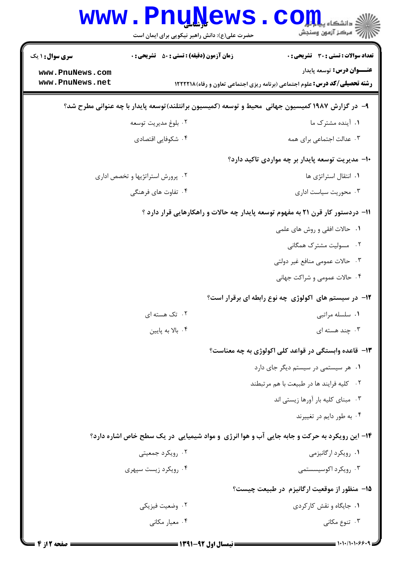|                                                                                                   | <b>www.PnuNews</b><br>حضرت علی(ع): دانش راهبر نیکویی برای ایمان است | $\mathbf{CO}_{\mathbf{H}}$ i - انشڪاه پيا<br>رآ - مرڪز آزمون وسنڊش                                                     |
|---------------------------------------------------------------------------------------------------|---------------------------------------------------------------------|------------------------------------------------------------------------------------------------------------------------|
| <b>سری سوال :</b> ۱ یک                                                                            | <b>زمان آزمون (دقیقه) : تستی : 50 ٪ تشریحی : 0</b>                  | تعداد سوالات : تستى : 30 ٪ تشريحي : 0                                                                                  |
| www.PnuNews.com<br>www.PnuNews.net                                                                |                                                                     | <b>عنـــوان درس:</b> توسعه پایدار<br><b>رشته تحصیلی/کد درس:</b> علوم اجتماعی (برنامه ریزی اجتماعی تعاون و رفاه)۱۲۲۲۲۱۸ |
| ۹– در گزارش ۱۹۸۷ کمیسیون جهانی ًمحیط و توسعه (کمیسیون برانتلند)توسعه پایدار با چه عنوانی مطرح شد؟ |                                                                     |                                                                                                                        |
|                                                                                                   | ۰۲ بلوغ مديريت توسعه                                                | ۰۱ آینده مشترک ما                                                                                                      |
|                                                                                                   | ۰۴ شکوفایی اقتصادی                                                  | ۰۳ عدالت اجتماعی برای همه                                                                                              |
|                                                                                                   |                                                                     | ۱۰– مدیریت توسعه پایدار بر چه مواردی تاکید دارد؟                                                                       |
|                                                                                                   | ٠٢ پرورش استراتژيها و تخصص ادارى                                    | ٠١. انتقال استراتژى ها                                                                                                 |
|                                                                                                   | ۰۴ تفاوت های فرهنگی                                                 | ۰۳ محوریت سیاست اداری                                                                                                  |
|                                                                                                   |                                                                     | 1۱– دردستور کار قرن ۲۱ به مفهوم توسعه پایدار چه حالات و راهکارهایی قرار دارد ؟                                         |
|                                                                                                   |                                                                     | ۰۱ حالات افقی و روش های علمی                                                                                           |
|                                                                                                   |                                                                     | ۲. مسولیت مشترک همگانی                                                                                                 |
|                                                                                                   |                                                                     | ۰۳ حالات عمومی منافع غیر دولتی                                                                                         |
|                                                                                                   |                                                                     | ۰۴ حالات عمومی و شراکت جهانی                                                                                           |
|                                                                                                   |                                                                     | ۱۲- در سیستم های <b>اکولوژی چه نوع رابطه ای برقرار است</b> ؟                                                           |
|                                                                                                   | ۰۲ تک هسته ای                                                       | ۰۱ سلسله مراتبی                                                                                                        |
|                                                                                                   | ۰۴ بالا به پایین                                                    | ۰۳ چند هسته ای                                                                                                         |
|                                                                                                   |                                                                     | ۱۳- قاعده وابستگی در قواعد کلی اکولوژی به چه معناست؟                                                                   |
|                                                                                                   |                                                                     | ۰۱ هر سیستمی در سیستم دیگر جای دارد                                                                                    |
|                                                                                                   |                                                                     | ٢. كليه فرايند ها در طبيعت با هم مرتبطند                                                                               |
|                                                                                                   |                                                                     | ۰۳ مبنای کلیه بار آورها زیستی اند                                                                                      |
|                                                                                                   |                                                                     | ۰۴ به طور دايم در تغييرند                                                                                              |
|                                                                                                   |                                                                     | ۱۴- این رویکرد به حرکت و جابه جایی آب و هوا انرژی و مواد شیمیایی در یک سطح خاص اشاره دارد؟                             |
|                                                                                                   | ۰۲ رویکرد جمعیتی                                                    | ۰۱ رویکرد ارگانیزمی                                                                                                    |
|                                                                                                   | ۰۴ رویکرد زیست سپهری                                                | ۰۳ رویکرد اکوسیسستمی                                                                                                   |
|                                                                                                   |                                                                     | ۱۵– منظور از موقعیت ارگانیزم در طبیعت چیست؟                                                                            |
|                                                                                                   | ۰۲ وضعیت فیزیکی                                                     | ۰۱ جایگاه و نقش کارکردی                                                                                                |
|                                                                                                   | ۰۴ معیار مکانی                                                      | ۰۳ تنوع مکانی                                                                                                          |
|                                                                                                   |                                                                     |                                                                                                                        |

 $1 - 1 - 11 - 1 - 9$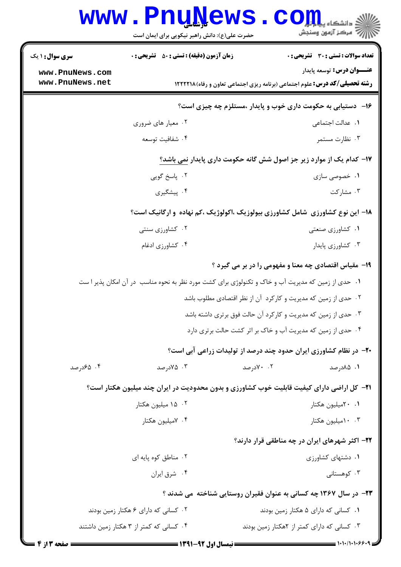|                                    | www.PnuNews.                                                                                        |           | $\text{C}$ OII                                                                                                         |
|------------------------------------|-----------------------------------------------------------------------------------------------------|-----------|------------------------------------------------------------------------------------------------------------------------|
|                                    | حضرت علی(ع): دانش راهبر نیکویی برای ایمان است                                                       |           | رآ مرڪز آزمون وسنڊش                                                                                                    |
| <b>سری سوال : ۱ یک</b>             | <b>زمان آزمون (دقیقه) : تستی : 50 ٪ تشریحی : 0</b>                                                  |           | تعداد سوالات : تستى : 30 - تشريحي : 0                                                                                  |
| www.PnuNews.com<br>www.PnuNews.net |                                                                                                     |           | <b>عنـــوان درس:</b> توسعه پایدار<br><b>رشته تحصیلی/کد درس:</b> علوم اجتماعی (برنامه ریزی اجتماعی تعاون و رفاه)۱۲۲۲۲۱۸ |
|                                    |                                                                                                     |           | ۱۶- دستیابی به حکومت داری خوب و پایدار ،مستلزم چه چیزی است؟                                                            |
|                                    | ۰۲ معیار های ضروری                                                                                  |           | ٠١. عدالت اجتماعي                                                                                                      |
|                                    | ۰۴ شفافيت توسعه                                                                                     |           | ۰۳ نظارت مستمر                                                                                                         |
|                                    |                                                                                                     |           | ۱۷- کدام یک از موارد زیر جز اصول شش گانه حکومت داری پایدار نمی باشد؟                                                   |
|                                    | ۰۲ پاسخ گويي                                                                                        |           | ۰۱ خصوصی سازی                                                                                                          |
|                                    | ۰۴ پیشگیری                                                                                          |           | ۰۳ مشارکت                                                                                                              |
|                                    |                                                                                                     |           | ۱۸– این نوع کشاورزی شامل کشاورزی بیولوزیک ،اکولوژیک ،کم نهاده و ارگانیک است؟                                           |
|                                    | ۰۲ کشاورزی سنتی                                                                                     |           | ۰۱ کشاورزی صنعتی                                                                                                       |
|                                    | ۰۴ کشاورزی ادغام                                                                                    |           | ۰۳ کشاورزی پایدار                                                                                                      |
|                                    |                                                                                                     |           | <b>۱۹</b> - مقیاس اقتصادی چه معنا و مفهومی را در بر می گیرد ؟                                                          |
|                                    | ۰۱ حدی از زمین که مدیریت آب و خاک و تکنولوژی برای کشت مورد نظر به نحوه مناسب  در آن امکان پذیر ا ست |           |                                                                                                                        |
|                                    |                                                                                                     |           | ۰۲ حدی از زمین که مدیریت و کارکرد آن از نظر اقتصادی مطلوب باشد                                                         |
|                                    |                                                                                                     |           | ۰۳ حدی از زمین که مدیریت و کارکرد آن حالت فوق برتری داشته باشد                                                         |
|                                    |                                                                                                     |           | ۰۴ حدی از زمین که مدیریت آب و خاک بر اثر کشت حالت برتری دارد                                                           |
|                                    |                                                                                                     |           | +۲- در نظام کشاورزی ایران حدود چند درصد از تولیدات زراعی آبی است؟                                                      |
| ۰۴ هجدرصد                          | ۰۳ ۵/۰ (صد                                                                                          | ۰۲ ۷۰درصد | ۰۱ ۸۵درصد                                                                                                              |
|                                    | <b>۲۱</b> - کل اراضی دارای کیفیت قابلیت خوب کشاورزی و بدون محدودیت در ایران چند میلیون هکتار است؟   |           |                                                                                                                        |
|                                    | ۰۲ ۱۵ میلیون هکتار                                                                                  |           | ۰۱ ۲۰میلیون هکتار                                                                                                      |
|                                    | ۰۴ ۷میلیون هکتار                                                                                    |           | ۰.۳ امیلیون هکتار                                                                                                      |
|                                    |                                                                                                     |           | ۲۲- اکثر شهرهای ایران در چه مناطقی قرار دارند؟                                                                         |
|                                    | ۰۲ مناطق کوه پایه ای                                                                                |           | ۰۱ دشتهای کشاورزی                                                                                                      |
|                                    | ۰۴ شرق ايران                                                                                        |           | ۰۳ کوهستانی                                                                                                            |
|                                    |                                                                                                     |           | ۲۳- در سال ۱۳۶۷ چه کسانی به عنوان فقیران روستایی شناخته می شدند ؟                                                      |
|                                    | ۰۲ کسانی که دارای ۶ هکتار زمین بودند                                                                |           | ٠١ كسانى كه داراى ۵ هكتار زمين بودند                                                                                   |
|                                    | ۰۴ کسانی که کمتر از ۳ هکتار زمین داشتند                                                             |           | ۰۳ کسانی که دارای کمتر از ۲هکتار زمین بودند                                                                            |